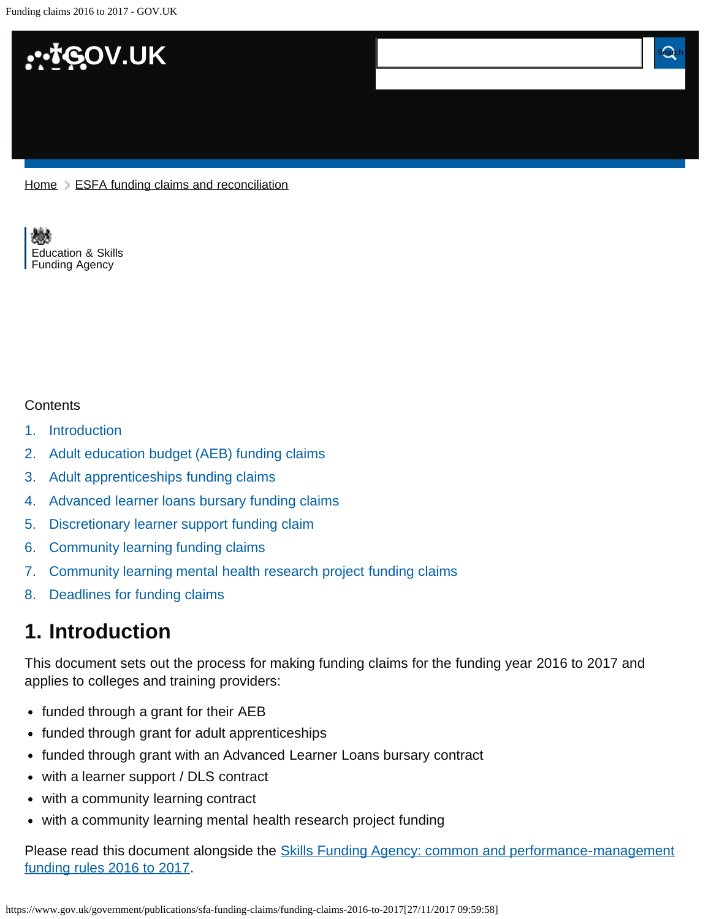<span id="page-0-1"></span>Funding claims 2016 to 2017 - GOV.UK



 $Home$   $\geq$  [ESFA funding claims and reconciliation](https://www.gov.uk/government/publications/sfa-funding-claims)

[Education & Skills](https://www.gov.uk/government/organisations/education-and-skills-funding-agency)  [Funding Agency](https://www.gov.uk/government/organisations/education-and-skills-funding-agency)

#### **Contents**

- [1.](#page-0-0) [Introduction](#page-0-0)
- [2.](#page-1-0) [Adult education budget \(AEB\) funding claims](#page-1-0)
- [3.](#page-3-0) [Adult apprenticeships funding claims](#page-3-0)
- [4.](#page-5-0) [Advanced learner loans bursary funding claims](#page-5-0)
- [5.](#page-6-0) [Discretionary learner support funding claim](#page-6-0)
- [6.](#page-8-0) [Community learning funding claims](#page-8-0)
- [7.](#page-9-0) [Community learning mental health research project funding claims](#page-9-0)
- [8.](#page-10-0) [Deadlines for funding claims](#page-10-0)

# <span id="page-0-0"></span>**1. Introduction**

This document sets out the process for making funding claims for the funding year 2016 to 2017 and applies to colleges and training providers:

- funded through a grant for their AEB
- funded through grant for adult apprenticeships
- funded through grant with an Advanced Learner Loans bursary contract
- with a learner support / DLS contract
- with a community learning contract
- with a community learning mental health research project funding

Please read this document alongside the **Skills Funding Agency: common and performance-management** [funding rules 2016 to 2017.](https://www.gov.uk/government/publications/skills-funding-agency-common-funding-rules)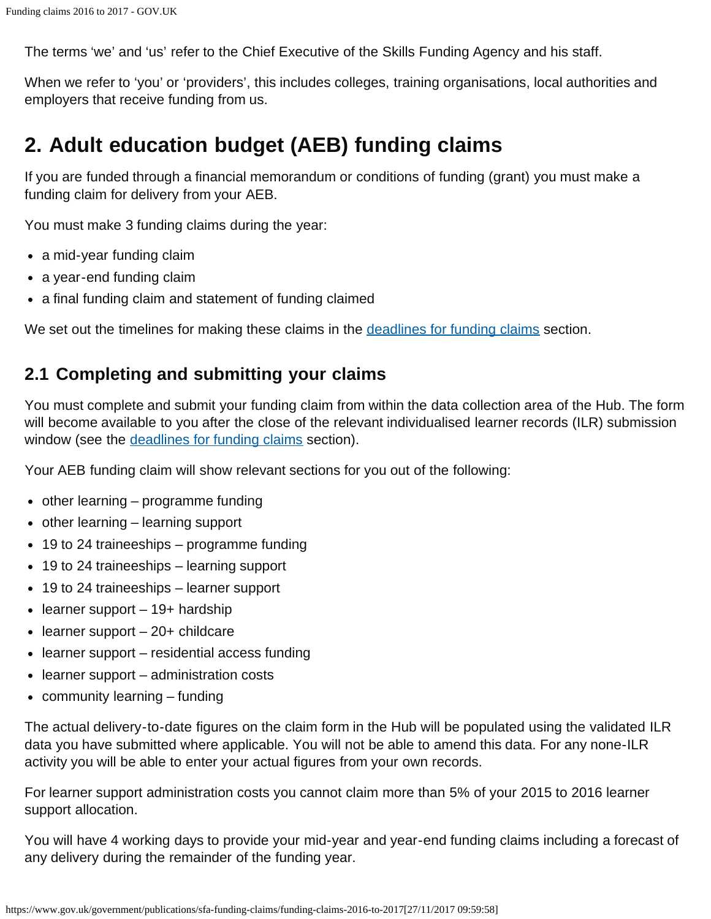The terms 'we' and 'us' refer to the Chief Executive of the Skills Funding Agency and his staff.

When we refer to 'you' or 'providers', this includes colleges, training organisations, local authorities and employers that receive funding from us.

# <span id="page-1-0"></span>**2. Adult education budget (AEB) funding claims**

If you are funded through a financial memorandum or conditions of funding (grant) you must make a funding claim for delivery from your AEB.

You must make 3 funding claims during the year:

- a mid-year funding claim
- a year-end funding claim
- a final funding claim and statement of funding claimed

We set out the timelines for making these claims in the [deadlines for funding claims](#page-10-1) section.

#### **2.1 Completing and submitting your claims**

You must complete and submit your funding claim from within the data collection area of the Hub. The form will become available to you after the close of the relevant individualised learner records (ILR) submission window (see the [deadlines for funding claims](#page-10-1) section).

Your AEB funding claim will show relevant sections for you out of the following:

- $\bullet$  other learning programme funding
- $\bullet$  other learning learning support
- 19 to 24 traineeships programme funding
- 19 to 24 traineeships learning support
- 19 to 24 traineeships learner support
- $\bullet$  learner support 19+ hardship
- $\bullet$  learner support 20+ childcare
- learner support residential access funding
- learner support administration costs
- community learning funding

The actual delivery-to-date figures on the claim form in the Hub will be populated using the validated ILR data you have submitted where applicable. You will not be able to amend this data. For any none-ILR activity you will be able to enter your actual figures from your own records.

For learner support administration costs you cannot claim more than 5% of your 2015 to 2016 learner support allocation.

You will have 4 working days to provide your mid-year and year-end funding claims including a forecast of any delivery during the remainder of the funding year.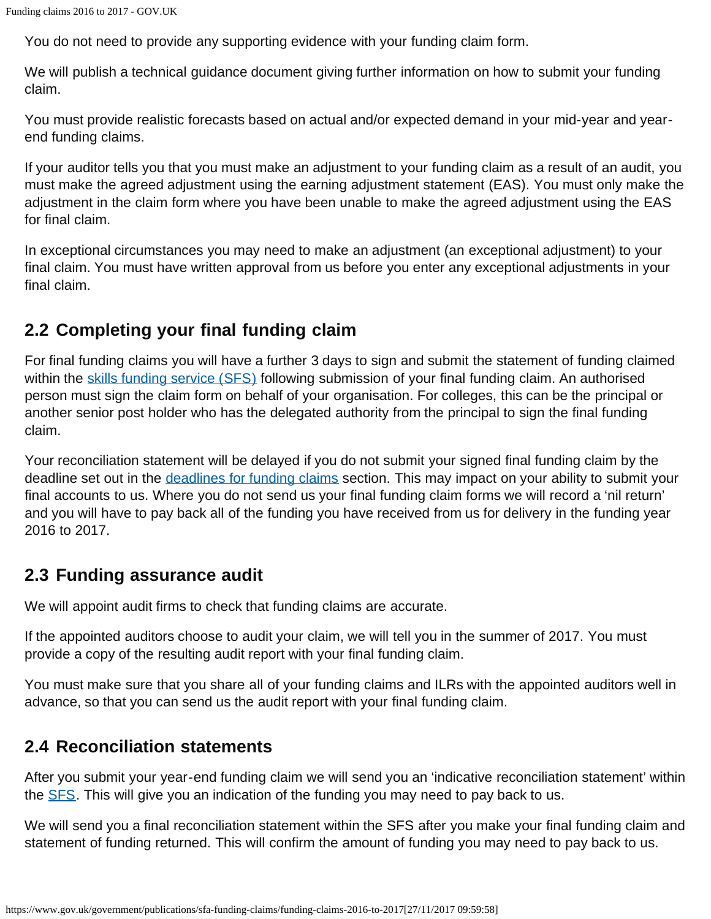You do not need to provide any supporting evidence with your funding claim form.

We will publish a technical guidance document giving further information on how to submit your funding claim.

You must provide realistic forecasts based on actual and/or expected demand in your mid-year and yearend funding claims.

If your auditor tells you that you must make an adjustment to your funding claim as a result of an audit, you must make the agreed adjustment using the earning adjustment statement (EAS). You must only make the adjustment in the claim form where you have been unable to make the agreed adjustment using the EAS for final claim.

In exceptional circumstances you may need to make an adjustment (an exceptional adjustment) to your final claim. You must have written approval from us before you enter any exceptional adjustments in your final claim.

## **2.2 Completing your final funding claim**

For final funding claims you will have a further 3 days to sign and submit the statement of funding claimed within the [skills funding service \(SFS\)](https://skillsfunding.service.gov.uk/) following submission of your final funding claim. An authorised person must sign the claim form on behalf of your organisation. For colleges, this can be the principal or another senior post holder who has the delegated authority from the principal to sign the final funding claim.

Your reconciliation statement will be delayed if you do not submit your signed final funding claim by the deadline set out in the [deadlines for funding claims](#page-10-1) section. This may impact on your ability to submit your final accounts to us. Where you do not send us your final funding claim forms we will record a 'nil return' and you will have to pay back all of the funding you have received from us for delivery in the funding year 2016 to 2017.

## **2.3 Funding assurance audit**

We will appoint audit firms to check that funding claims are accurate.

If the appointed auditors choose to audit your claim, we will tell you in the summer of 2017. You must provide a copy of the resulting audit report with your final funding claim.

You must make sure that you share all of your funding claims and ILRs with the appointed auditors well in advance, so that you can send us the audit report with your final funding claim.

## **2.4 Reconciliation statements**

After you submit your year-end funding claim we will send you an 'indicative reconciliation statement' within the **SFS**. This will give you an indication of the funding you may need to pay back to us.

We will send you a final reconciliation statement within the SFS after you make your final funding claim and statement of funding returned. This will confirm the amount of funding you may need to pay back to us.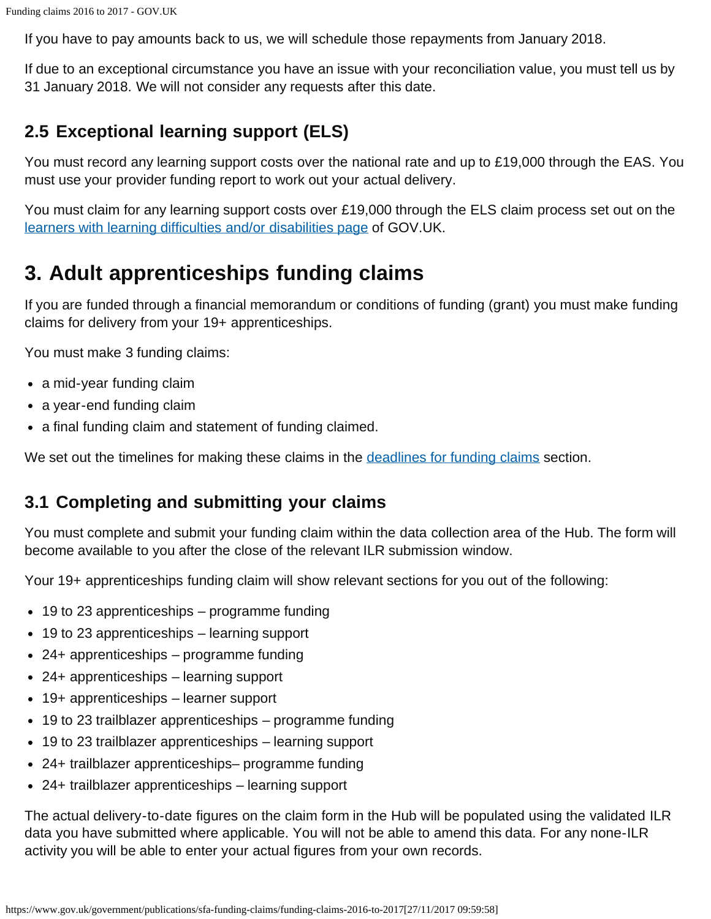If you have to pay amounts back to us, we will schedule those repayments from January 2018.

If due to an exceptional circumstance you have an issue with your reconciliation value, you must tell us by 31 January 2018. We will not consider any requests after this date.

# **2.5 Exceptional learning support (ELS)**

You must record any learning support costs over the national rate and up to £19,000 through the EAS. You must use your provider funding report to work out your actual delivery.

You must claim for any learning support costs over £19,000 through the ELS claim process set out on the [learners with learning difficulties and/or disabilities page](https://www.gov.uk/government/collections/lldd-financial-support-for-learners) of GOV.UK.

# <span id="page-3-0"></span>**3. Adult apprenticeships funding claims**

If you are funded through a financial memorandum or conditions of funding (grant) you must make funding claims for delivery from your 19+ apprenticeships.

You must make 3 funding claims:

- a mid-year funding claim
- a year-end funding claim
- a final funding claim and statement of funding claimed.

We set out the timelines for making these claims in the [deadlines for funding claims](#page-10-1) section.

## **3.1 Completing and submitting your claims**

You must complete and submit your funding claim within the data collection area of the Hub. The form will become available to you after the close of the relevant ILR submission window.

Your 19+ apprenticeships funding claim will show relevant sections for you out of the following:

- 19 to 23 apprenticeships programme funding
- 19 to 23 apprenticeships learning support
- 24+ apprenticeships programme funding
- 24+ apprenticeships learning support
- 19+ apprenticeships learner support
- 19 to 23 trailblazer apprenticeships programme funding
- 19 to 23 trailblazer apprenticeships learning support
- 24+ trailblazer apprenticeships– programme funding
- 24+ trailblazer apprenticeships learning support

The actual delivery-to-date figures on the claim form in the Hub will be populated using the validated ILR data you have submitted where applicable. You will not be able to amend this data. For any none-ILR activity you will be able to enter your actual figures from your own records.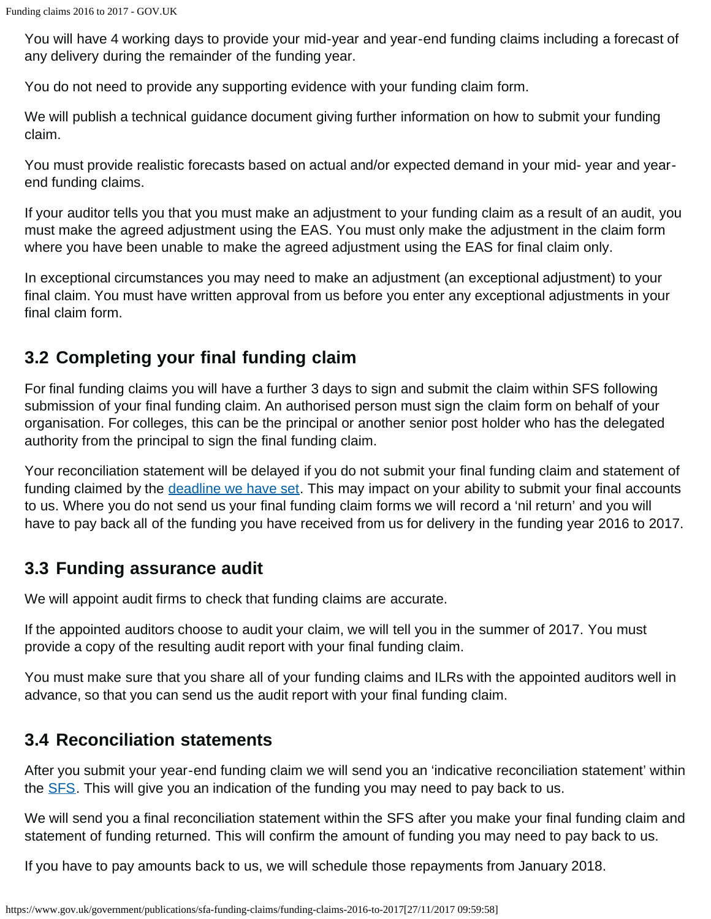You will have 4 working days to provide your mid-year and year-end funding claims including a forecast of any delivery during the remainder of the funding year.

You do not need to provide any supporting evidence with your funding claim form.

We will publish a technical guidance document giving further information on how to submit your funding claim.

You must provide realistic forecasts based on actual and/or expected demand in your mid- year and yearend funding claims.

If your auditor tells you that you must make an adjustment to your funding claim as a result of an audit, you must make the agreed adjustment using the EAS. You must only make the adjustment in the claim form where you have been unable to make the agreed adjustment using the EAS for final claim only.

In exceptional circumstances you may need to make an adjustment (an exceptional adjustment) to your final claim. You must have written approval from us before you enter any exceptional adjustments in your final claim form.

## **3.2 Completing your final funding claim**

For final funding claims you will have a further 3 days to sign and submit the claim within SFS following submission of your final funding claim. An authorised person must sign the claim form on behalf of your organisation. For colleges, this can be the principal or another senior post holder who has the delegated authority from the principal to sign the final funding claim.

Your reconciliation statement will be delayed if you do not submit your final funding claim and statement of funding claimed by the [deadline we have set](#page-0-1). This may impact on your ability to submit your final accounts to us. Where you do not send us your final funding claim forms we will record a 'nil return' and you will have to pay back all of the funding you have received from us for delivery in the funding year 2016 to 2017.

## **3.3 Funding assurance audit**

We will appoint audit firms to check that funding claims are accurate.

If the appointed auditors choose to audit your claim, we will tell you in the summer of 2017. You must provide a copy of the resulting audit report with your final funding claim.

You must make sure that you share all of your funding claims and ILRs with the appointed auditors well in advance, so that you can send us the audit report with your final funding claim.

#### **3.4 Reconciliation statements**

After you submit your year-end funding claim we will send you an 'indicative reconciliation statement' within the **SFS**. This will give you an indication of the funding you may need to pay back to us.

We will send you a final reconciliation statement within the SFS after you make your final funding claim and statement of funding returned. This will confirm the amount of funding you may need to pay back to us.

If you have to pay amounts back to us, we will schedule those repayments from January 2018.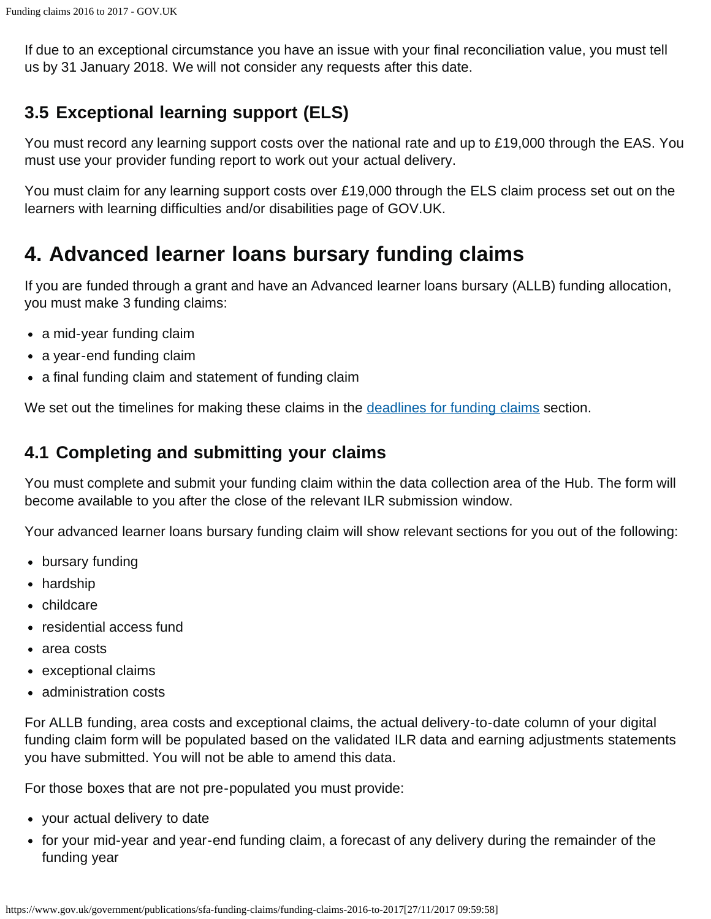If due to an exceptional circumstance you have an issue with your final reconciliation value, you must tell us by 31 January 2018. We will not consider any requests after this date.

# **3.5 Exceptional learning support (ELS)**

You must record any learning support costs over the national rate and up to £19,000 through the EAS. You must use your provider funding report to work out your actual delivery.

You must claim for any learning support costs over £19,000 through the ELS claim process set out on the learners with learning difficulties and/or disabilities page of GOV.UK.

# <span id="page-5-0"></span>**4. Advanced learner loans bursary funding claims**

If you are funded through a grant and have an Advanced learner loans bursary (ALLB) funding allocation, you must make 3 funding claims:

- a mid-year funding claim
- a year-end funding claim
- a final funding claim and statement of funding claim

We set out the timelines for making these claims in the [deadlines for funding claims](#page-10-1) section.

#### **4.1 Completing and submitting your claims**

You must complete and submit your funding claim within the data collection area of the Hub. The form will become available to you after the close of the relevant ILR submission window.

Your advanced learner loans bursary funding claim will show relevant sections for you out of the following:

- bursary funding
- hardship
- childcare
- residential access fund
- area costs
- exceptional claims
- administration costs

For ALLB funding, area costs and exceptional claims, the actual delivery-to-date column of your digital funding claim form will be populated based on the validated ILR data and earning adjustments statements you have submitted. You will not be able to amend this data.

For those boxes that are not pre-populated you must provide:

- your actual delivery to date
- for your mid-year and year-end funding claim, a forecast of any delivery during the remainder of the funding year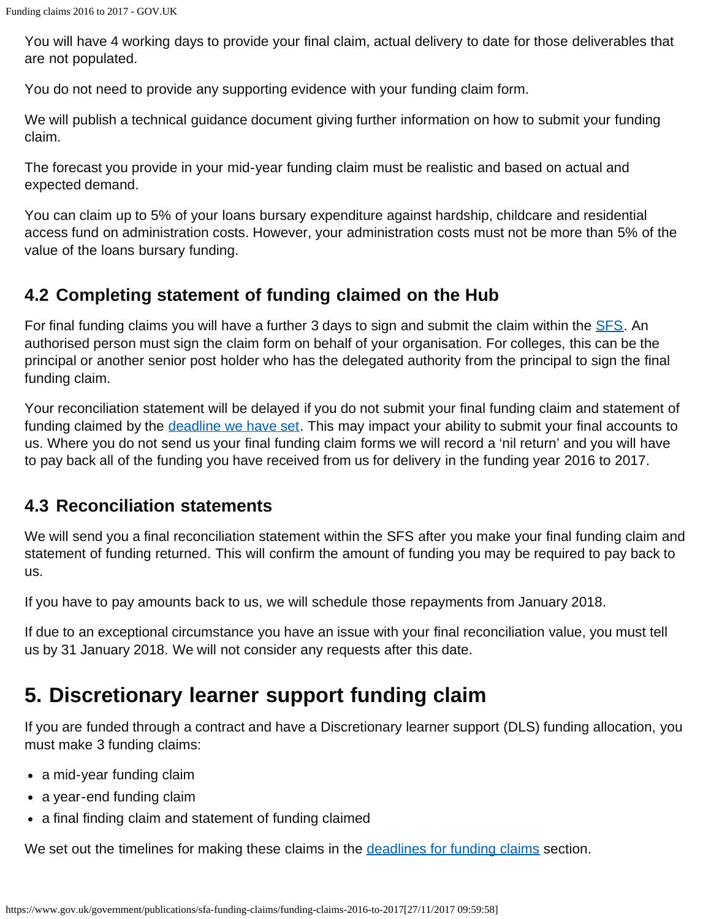You will have 4 working days to provide your final claim, actual delivery to date for those deliverables that are not populated.

You do not need to provide any supporting evidence with your funding claim form.

We will publish a technical guidance document giving further information on how to submit your funding claim.

The forecast you provide in your mid-year funding claim must be realistic and based on actual and expected demand.

You can claim up to 5% of your loans bursary expenditure against hardship, childcare and residential access fund on administration costs. However, your administration costs must not be more than 5% of the value of the loans bursary funding.

## **4.2 Completing statement of funding claimed on the Hub**

For final funding claims you will have a further 3 days to sign and submit the claim within the **SFS**. An authorised person must sign the claim form on behalf of your organisation. For colleges, this can be the principal or another senior post holder who has the delegated authority from the principal to sign the final funding claim.

Your reconciliation statement will be delayed if you do not submit your final funding claim and statement of funding claimed by the [deadline we have set](#page-0-1). This may impact your ability to submit your final accounts to us. Where you do not send us your final funding claim forms we will record a 'nil return' and you will have to pay back all of the funding you have received from us for delivery in the funding year 2016 to 2017.

#### **4.3 Reconciliation statements**

We will send you a final reconciliation statement within the SFS after you make your final funding claim and statement of funding returned. This will confirm the amount of funding you may be required to pay back to us.

If you have to pay amounts back to us, we will schedule those repayments from January 2018.

If due to an exceptional circumstance you have an issue with your final reconciliation value, you must tell us by 31 January 2018. We will not consider any requests after this date.

# <span id="page-6-0"></span>**5. Discretionary learner support funding claim**

If you are funded through a contract and have a Discretionary learner support (DLS) funding allocation, you must make 3 funding claims:

- a mid-year funding claim
- a year-end funding claim
- a final finding claim and statement of funding claimed

We set out the timelines for making these claims in the [deadlines for funding claims](#page-10-1) section.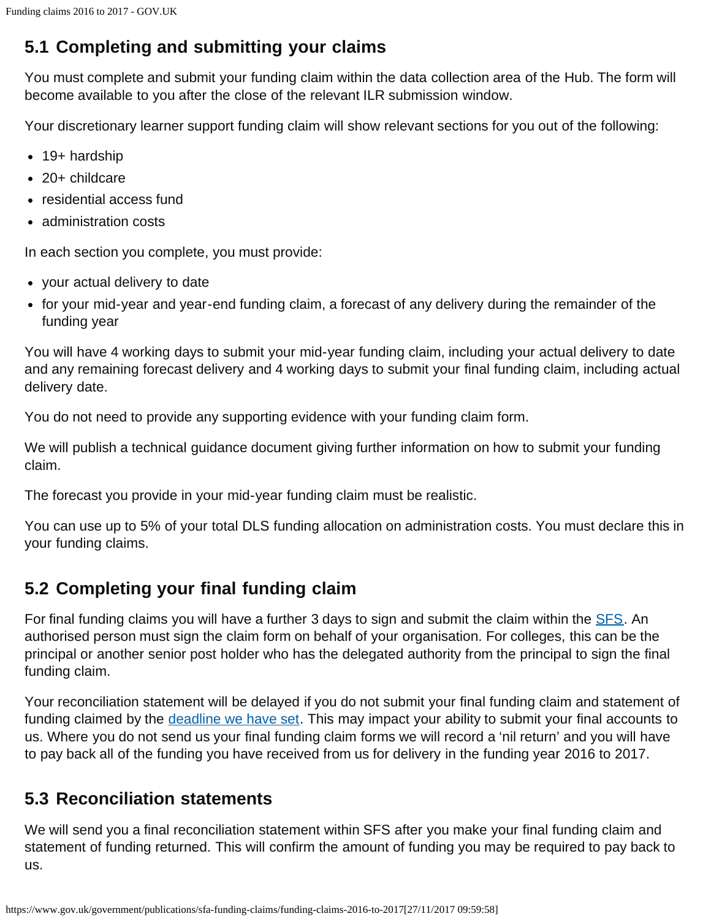# **5.1 Completing and submitting your claims**

You must complete and submit your funding claim within the data collection area of the Hub. The form will become available to you after the close of the relevant ILR submission window.

Your discretionary learner support funding claim will show relevant sections for you out of the following:

- 19+ hardship 20+ childcare
- residential access fund
- administration costs

In each section you complete, you must provide:

- your actual delivery to date
- for your mid-year and year-end funding claim, a forecast of any delivery during the remainder of the funding year

You will have 4 working days to submit your mid-year funding claim, including your actual delivery to date and any remaining forecast delivery and 4 working days to submit your final funding claim, including actual delivery date.

You do not need to provide any supporting evidence with your funding claim form.

We will publish a technical guidance document giving further information on how to submit your funding claim.

The forecast you provide in your mid-year funding claim must be realistic.

You can use up to 5% of your total DLS funding allocation on administration costs. You must declare this in your funding claims.

## **5.2 Completing your final funding claim**

For final funding claims you will have a further 3 days to sign and submit the claim within the [SFS](https://skillsfunding.service.gov.uk/). An authorised person must sign the claim form on behalf of your organisation. For colleges, this can be the principal or another senior post holder who has the delegated authority from the principal to sign the final funding claim.

Your reconciliation statement will be delayed if you do not submit your final funding claim and statement of funding claimed by the [deadline we have set](#page-0-1). This may impact your ability to submit your final accounts to us. Where you do not send us your final funding claim forms we will record a 'nil return' and you will have to pay back all of the funding you have received from us for delivery in the funding year 2016 to 2017.

## **5.3 Reconciliation statements**

We will send you a final reconciliation statement within SFS after you make your final funding claim and statement of funding returned. This will confirm the amount of funding you may be required to pay back to us.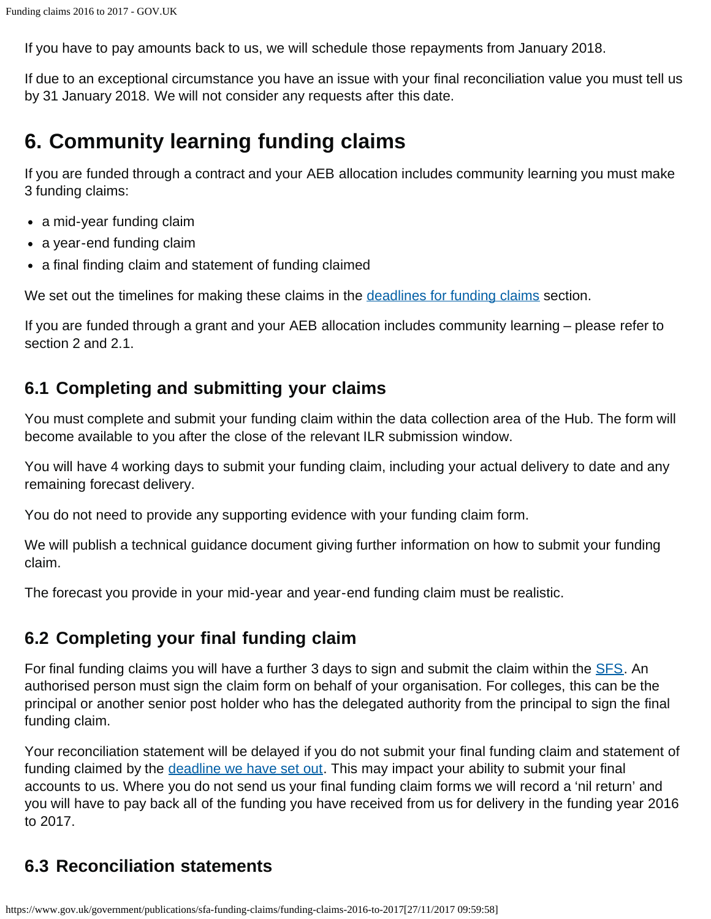If you have to pay amounts back to us, we will schedule those repayments from January 2018.

If due to an exceptional circumstance you have an issue with your final reconciliation value you must tell us by 31 January 2018. We will not consider any requests after this date.

# <span id="page-8-0"></span>**6. Community learning funding claims**

If you are funded through a contract and your AEB allocation includes community learning you must make 3 funding claims:

- a mid-year funding claim
- a year-end funding claim
- a final finding claim and statement of funding claimed

We set out the timelines for making these claims in the [deadlines for funding claims](#page-10-1) section.

If you are funded through a grant and your AEB allocation includes community learning – please refer to section 2 and 2.1.

## **6.1 Completing and submitting your claims**

You must complete and submit your funding claim within the data collection area of the Hub. The form will become available to you after the close of the relevant ILR submission window.

You will have 4 working days to submit your funding claim, including your actual delivery to date and any remaining forecast delivery.

You do not need to provide any supporting evidence with your funding claim form.

We will publish a technical guidance document giving further information on how to submit your funding claim.

The forecast you provide in your mid-year and year-end funding claim must be realistic.

#### **6.2 Completing your final funding claim**

For final funding claims you will have a further 3 days to sign and submit the claim within the **SFS**. An authorised person must sign the claim form on behalf of your organisation. For colleges, this can be the principal or another senior post holder who has the delegated authority from the principal to sign the final funding claim.

Your reconciliation statement will be delayed if you do not submit your final funding claim and statement of funding claimed by the [deadline we have set out.](#page-0-1) This may impact your ability to submit your final accounts to us. Where you do not send us your final funding claim forms we will record a 'nil return' and you will have to pay back all of the funding you have received from us for delivery in the funding year 2016 to 2017.

## **6.3 Reconciliation statements**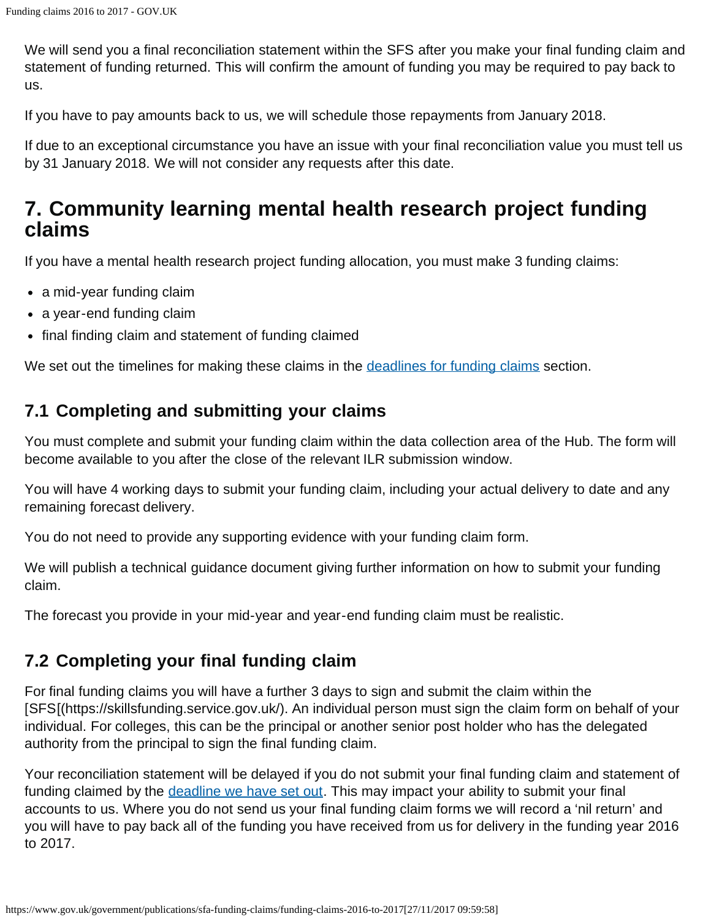We will send you a final reconciliation statement within the SFS after you make your final funding claim and statement of funding returned. This will confirm the amount of funding you may be required to pay back to us.

If you have to pay amounts back to us, we will schedule those repayments from January 2018.

If due to an exceptional circumstance you have an issue with your final reconciliation value you must tell us by 31 January 2018. We will not consider any requests after this date.

# <span id="page-9-0"></span>**7. Community learning mental health research project funding claims**

If you have a mental health research project funding allocation, you must make 3 funding claims:

- a mid-year funding claim
- a year-end funding claim
- final finding claim and statement of funding claimed

We set out the timelines for making these claims in the [deadlines for funding claims](#page-10-1) section.

## **7.1 Completing and submitting your claims**

You must complete and submit your funding claim within the data collection area of the Hub. The form will become available to you after the close of the relevant ILR submission window.

You will have 4 working days to submit your funding claim, including your actual delivery to date and any remaining forecast delivery.

You do not need to provide any supporting evidence with your funding claim form.

We will publish a technical guidance document giving further information on how to submit your funding claim.

The forecast you provide in your mid-year and year-end funding claim must be realistic.

## **7.2 Completing your final funding claim**

For final funding claims you will have a further 3 days to sign and submit the claim within the [SFS[(https://skillsfunding.service.gov.uk/). An individual person must sign the claim form on behalf of your individual. For colleges, this can be the principal or another senior post holder who has the delegated authority from the principal to sign the final funding claim.

Your reconciliation statement will be delayed if you do not submit your final funding claim and statement of funding claimed by the [deadline we have set out.](#page-0-1) This may impact your ability to submit your final accounts to us. Where you do not send us your final funding claim forms we will record a 'nil return' and you will have to pay back all of the funding you have received from us for delivery in the funding year 2016 to 2017.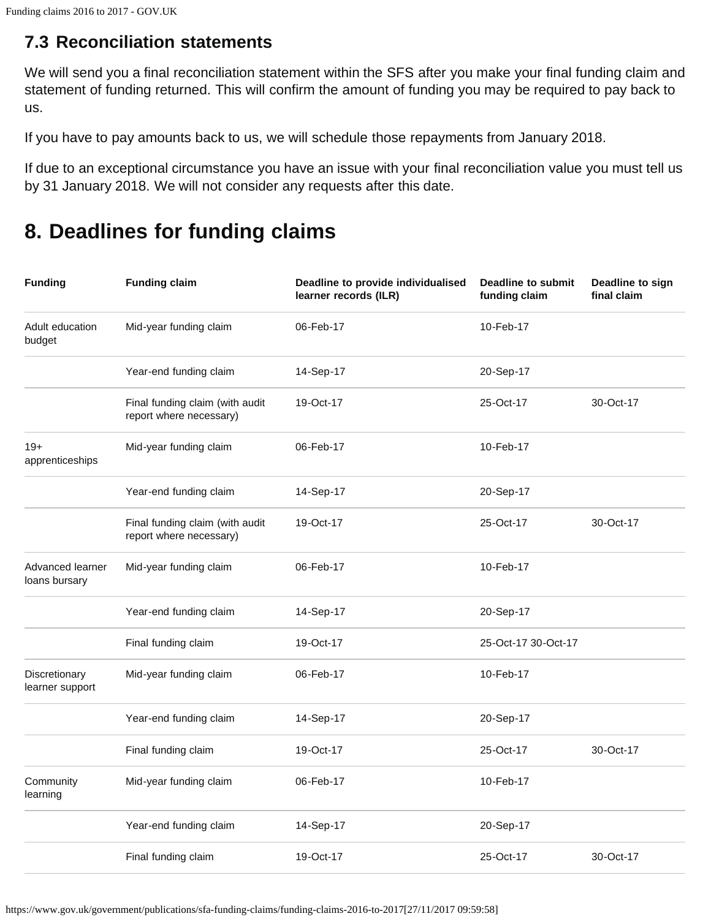## **7.3 Reconciliation statements**

<span id="page-10-1"></span>We will send you a final reconciliation statement within the SFS after you make your final funding claim and statement of funding returned. This will confirm the amount of funding you may be required to pay back to us.

If you have to pay amounts back to us, we will schedule those repayments from January 2018.

If due to an exceptional circumstance you have an issue with your final reconciliation value you must tell us by 31 January 2018. We will not consider any requests after this date.

# <span id="page-10-0"></span>**8. Deadlines for funding claims**

| <b>Funding</b>                    | <b>Funding claim</b>                                       | Deadline to provide individualised<br>learner records (ILR) | <b>Deadline to submit</b><br>funding claim | Deadline to sign<br>final claim |
|-----------------------------------|------------------------------------------------------------|-------------------------------------------------------------|--------------------------------------------|---------------------------------|
| Adult education<br>budget         | Mid-year funding claim                                     | 06-Feb-17                                                   | 10-Feb-17                                  |                                 |
|                                   | Year-end funding claim                                     | 14-Sep-17                                                   | 20-Sep-17                                  |                                 |
|                                   | Final funding claim (with audit<br>report where necessary) | 19-Oct-17                                                   | 25-Oct-17                                  | 30-Oct-17                       |
| $19+$<br>apprenticeships          | Mid-year funding claim                                     | 06-Feb-17                                                   | 10-Feb-17                                  |                                 |
|                                   | Year-end funding claim                                     | 14-Sep-17                                                   | 20-Sep-17                                  |                                 |
|                                   | Final funding claim (with audit<br>report where necessary) | 19-Oct-17                                                   | 25-Oct-17                                  | 30-Oct-17                       |
| Advanced learner<br>loans bursary | Mid-year funding claim                                     | 06-Feb-17                                                   | 10-Feb-17                                  |                                 |
|                                   | Year-end funding claim                                     | 14-Sep-17                                                   | 20-Sep-17                                  |                                 |
|                                   | Final funding claim                                        | 19-Oct-17                                                   | 25-Oct-17 30-Oct-17                        |                                 |
| Discretionary<br>learner support  | Mid-year funding claim                                     | 06-Feb-17                                                   | 10-Feb-17                                  |                                 |
|                                   | Year-end funding claim                                     | 14-Sep-17                                                   | 20-Sep-17                                  |                                 |
|                                   | Final funding claim                                        | 19-Oct-17                                                   | 25-Oct-17                                  | 30-Oct-17                       |
| Community<br>learning             | Mid-year funding claim                                     | 06-Feb-17                                                   | 10-Feb-17                                  |                                 |
|                                   | Year-end funding claim                                     | 14-Sep-17                                                   | 20-Sep-17                                  |                                 |
|                                   | Final funding claim                                        | 19-Oct-17                                                   | 25-Oct-17                                  | 30-Oct-17                       |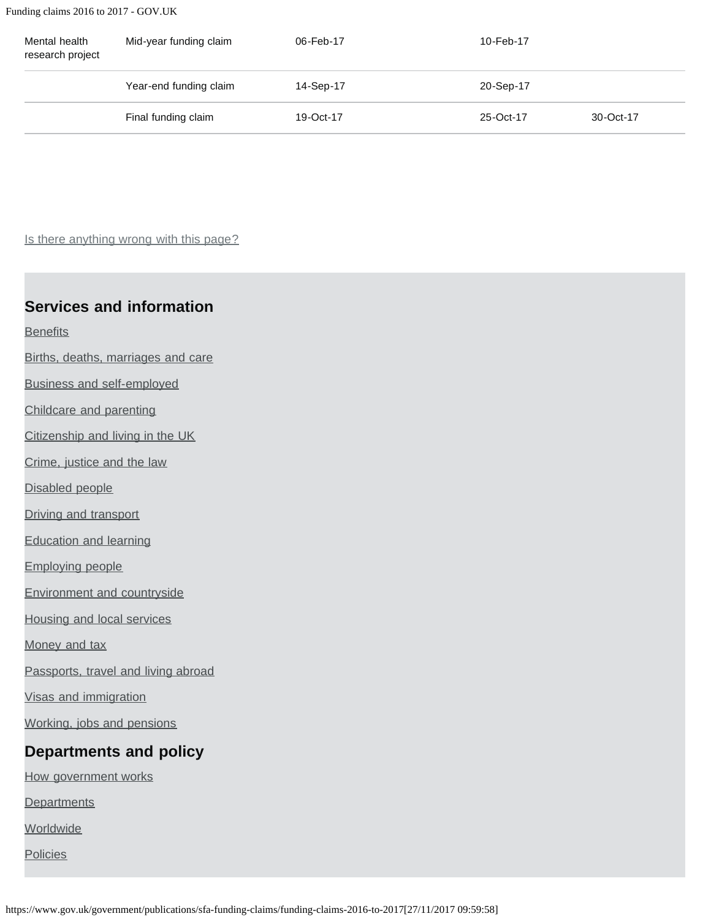Funding claims 2016 to 2017 - GOV.UK

| Mental health<br>research project | Mid-year funding claim | 06-Feb-17 | 10-Feb-17 |           |
|-----------------------------------|------------------------|-----------|-----------|-----------|
|                                   | Year-end funding claim | 14-Sep-17 | 20-Sep-17 |           |
|                                   | Final funding claim    | 19-Oct-17 | 25-Oct-17 | 30-Oct-17 |

Is there anything wrong with this page?

#### **Services and information**

**[Benefits](https://www.gov.uk/browse/benefits)** 

[Births, deaths, marriages and care](https://www.gov.uk/browse/births-deaths-marriages)

[Business and self-employed](https://www.gov.uk/browse/business)

[Childcare and parenting](https://www.gov.uk/browse/childcare-parenting)

[Citizenship and living in the UK](https://www.gov.uk/browse/citizenship)

[Crime, justice and the law](https://www.gov.uk/browse/justice)

[Disabled people](https://www.gov.uk/browse/disabilities)

[Driving and transport](https://www.gov.uk/browse/driving)

[Education and learning](https://www.gov.uk/browse/education)

[Employing people](https://www.gov.uk/browse/employing-people)

[Environment and countryside](https://www.gov.uk/browse/environment-countryside)

[Housing and local services](https://www.gov.uk/browse/housing-local-services)

[Money and tax](https://www.gov.uk/browse/tax)

[Passports, travel and living abroad](https://www.gov.uk/browse/abroad)

[Visas and immigration](https://www.gov.uk/browse/visas-immigration)

[Working, jobs and pensions](https://www.gov.uk/browse/working)

#### **Departments and policy**

[How government works](https://www.gov.uk/government/how-government-works)

**[Departments](https://www.gov.uk/government/organisations)** 

**[Worldwide](https://www.gov.uk/world)** 

**[Policies](https://www.gov.uk/government/policies)** 

https://www.gov.uk/government/publications/sfa-funding-claims/funding-claims-2016-to-2017[27/11/2017 09:59:58]